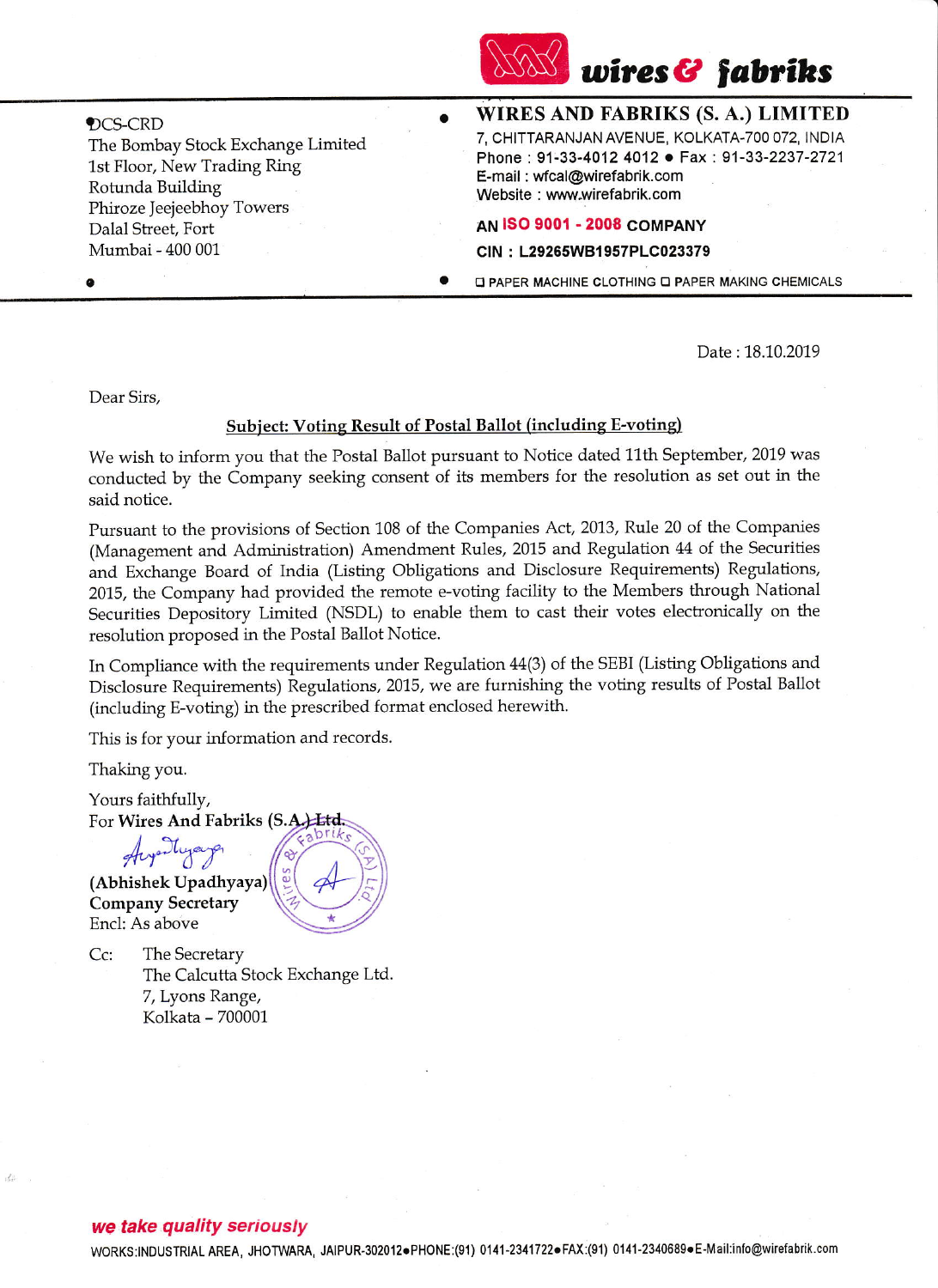

DCS-CRD The Bombay Stock Exchange Limited 1st Floor, New Trading Ring Rotunda Building Phiroze jeejeebhoy Towers Dalal Street, Fort Mumbai - 400 001

WIRES AND FABRIKS (S. A.) LIMITED 7, CHITTARANJAN AVENUE. KOLKATA.TOO 072, INDIA Phone : 91-33-4012 4012. Fax : 91-33-2237-2721 E-mail : wfcal@wirefabrik.com Website : www.wirefabrik.com

## **AN ISO 9001 - 2008 COMPANY**

## CIN : L29265W81957PLC023379

**O PAPER MACHINE CLOTHING O PAPER MAKING CHEMICALS** 

Date : 18.10.2019

Dear Sirs,

o

## Subject: Voting Result of Postal Ballot (including E-voting)

 $\bullet$ 

We wish to inform you that the Postal Ba1lot pursuant to Notice dated 11th September, 2019 was conducted by the Company seeking consent of its members for the resolution as set out in the said notice.

Pursuant to the provisions of section 108 of the Companies Act,2013, Rule 20 of the Companies (Management and Administration) Amendment Rules, 2015 and Regulation 44 of the Securities and Exchange Board of India (Listing Obligations and Disclosure Requirements) Regulations, 2015, the Company had provided the remote e-voting facility to the Members through National Securities Depository Limited (NSDL) to enable them to cast their votes electronically on the resolution proposed in the Postal Bailot Notice.

In Compliance with the requirements under Regulation 44(3) of the SEBI (Listing Obligations and Disclosure Requirements) Regulations, 2015, we are furnishing the voting results of Postal Ballot (including E-voting) in the prescribed format enclosed herewith.

- This is for your information and records.

Thaking you.

Yours faithfully, For Wires And Fabriks (S.A.) Ltd.

Augustugaya (Abhishek Upadhyaya) Company Secretary Encl: As above

Cc: The Secretary The Calcutta Stock Exchange Ltd. 7, Lyons Range, Kolkata - 700001

## we take quality seriously

WORKS:INDUSTRIAL AREA, JHOTWARA, JAIPUR-302012·PHONE:(91) 0141-2341722·FAX:(91) 0141-2340689·E-Mail:info@wirefabrik.com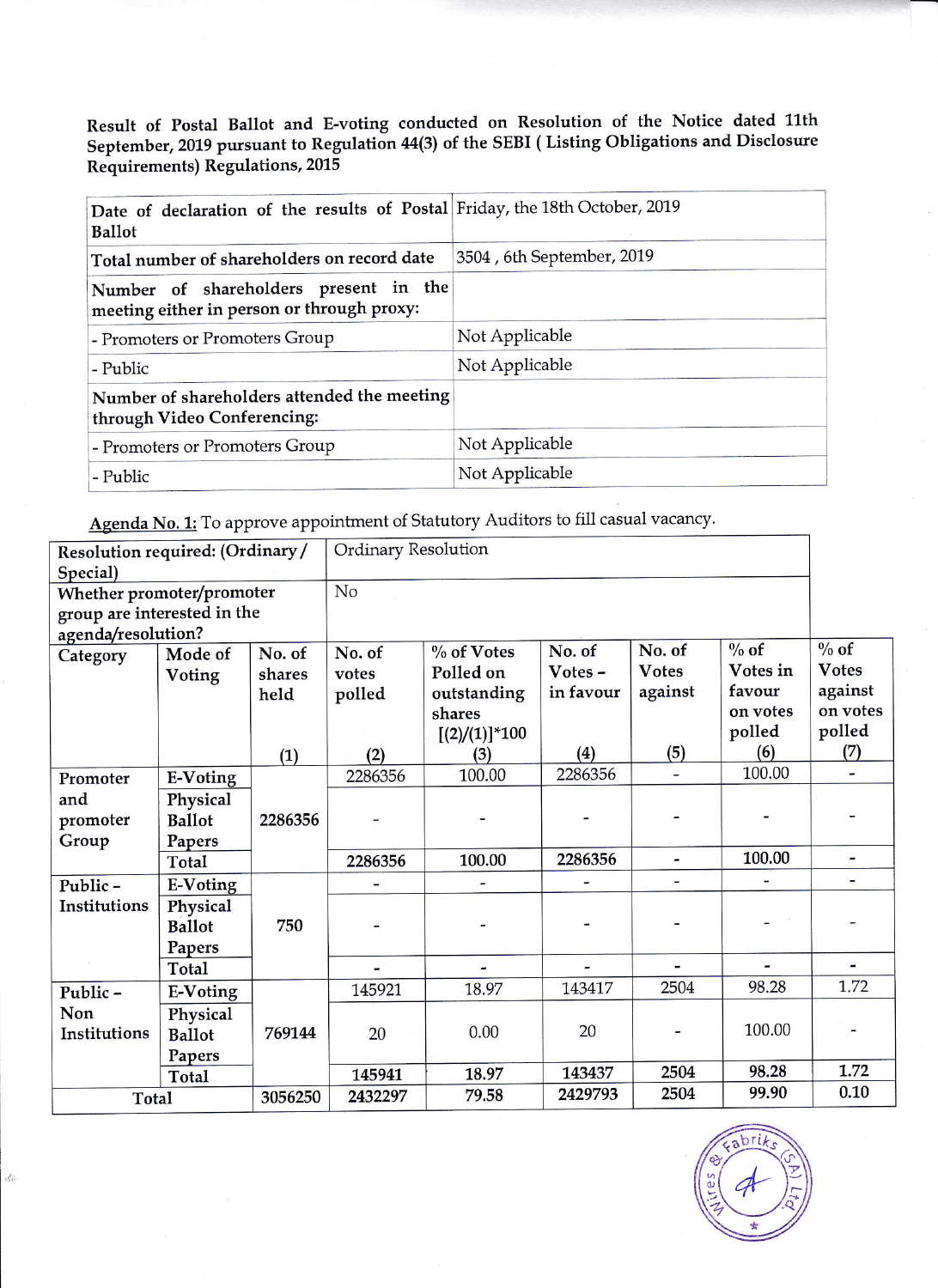Result of Postal Ballot and E-voting conducted on Resolution of the Notice dated llth September, 2019 pursuant to Regulation 114(3) of the SEBI ( Listing Obligations and Disclosure Requirements) Regulations, 2015

| Date of declaration of the results of Postal Friday, the 18th October, 2019<br><b>Ballot</b> |                           |
|----------------------------------------------------------------------------------------------|---------------------------|
| Total number of shareholders on record date                                                  | 3504, 6th September, 2019 |
| Number of shareholders present in the<br>meeting either in person or through proxy:          |                           |
| - Promoters or Promoters Group                                                               | Not Applicable            |
| - Public                                                                                     | Not Applicable            |
| Number of shareholders attended the meeting<br>through Video Conferencing:                   |                           |
| - Promoters or Promoters Group                                                               | Not Applicable            |
| - Public                                                                                     | Not Applicable            |

Agenda No. 1: To approve appointment of Statutory Auditors to fill casual vacancy.

 $\frac{d^2\phi}{d\phi^2}$ 

| Resolution required: (Ordinary /<br>Special) |                 | Ordinary Resolution |         |                  |           |              |          |              |
|----------------------------------------------|-----------------|---------------------|---------|------------------|-----------|--------------|----------|--------------|
| Whether promoter/promoter                    |                 | No                  |         |                  |           |              |          |              |
| group are interested in the                  |                 |                     |         |                  |           |              |          |              |
| agenda/resolution?                           |                 |                     |         |                  |           |              |          |              |
| Category                                     | Mode of         | No. of              | No. of  | $\%$ of Votes    | No. of    | No. of       | $\%$ of  | $\%$ of      |
|                                              | Voting          | shares              | votes   | Polled on        | Votes -   | <b>Votes</b> | Votes in | <b>Votes</b> |
|                                              |                 | held                | polled  | outstanding      | in favour | against      | favour   | against      |
|                                              |                 |                     |         | shares           |           |              | on votes | on votes     |
|                                              |                 |                     |         | $[(2)/(1)]$ *100 |           |              | polled   | polled       |
|                                              |                 | (1)                 | (2)     | (3)              | (4)       | (5)          | (6)      | (7)          |
| Promoter                                     | E-Voting        |                     | 2286356 | 100.00           | 2286356   |              | 100.00   |              |
| and                                          | Physical        |                     |         |                  |           |              |          |              |
| promoter                                     | <b>Ballot</b>   | 2286356             |         |                  |           |              |          |              |
| Group                                        | Papers          |                     |         |                  |           |              |          |              |
|                                              | Total           |                     | 2286356 | 100.00           | 2286356   | ۰            | 100.00   |              |
| Public-                                      | E-Voting        |                     |         |                  |           |              |          |              |
| Institutions                                 | Physical        |                     |         |                  |           |              |          |              |
|                                              | <b>Ballot</b>   | 750                 |         |                  |           |              |          |              |
|                                              | Papers          |                     |         |                  |           |              |          |              |
|                                              | Total           |                     |         |                  |           |              |          |              |
| Public-                                      | <b>E-Voting</b> |                     | 145921  | 18.97            | 143417    | 2504         | 98.28    | 1.72         |
| Non                                          | Physical        |                     |         |                  |           |              |          |              |
| Institutions                                 | <b>Ballot</b>   | 769144              | 20      | 0.00             | 20        |              | 100.00   |              |
|                                              | Papers          |                     |         |                  |           |              |          |              |
|                                              | Total           |                     | 145941  | 18.97            | 143437    | 2504         | 98.28    | 1.72         |
| Total                                        |                 | 3056250             | 2432297 | 79.58            | 2429793   | 2504         | 99.90    | 0.10         |